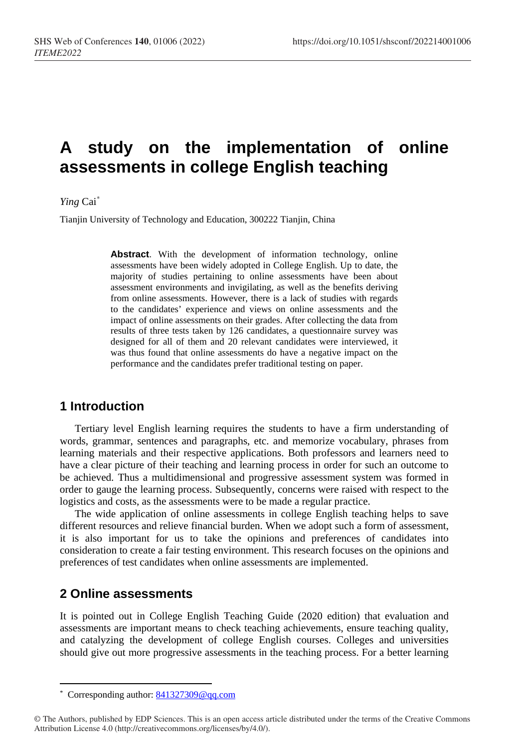# **A study on the implementation of online assessments in college English teaching**

*Ying* Cai [\\*](#page-0-0)

Tianjin University of Technology and Education, 300222 Tianjin, China

**Abstract**. With the development of information technology, online assessments have been widely adopted in College English. Up to date, the majority of studies pertaining to online assessments have been about assessment environments and invigilating, as well as the benefits deriving from online assessments. However, there is a lack of studies with regards to the candidates' experience and views on online assessments and the impact of online assessments on their grades. After collecting the data from results of three tests taken by 126 candidates, a questionnaire survey was designed for all of them and 20 relevant candidates were interviewed, it was thus found that online assessments do have a negative impact on the performance and the candidates prefer traditional testing on paper.

# **1 Introduction**

Tertiary level English learning requires the students to have a firm understanding of words, grammar, sentences and paragraphs, etc. and memorize vocabulary, phrases from learning materials and their respective applications. Both professors and learners need to have a clear picture of their teaching and learning process in order for such an outcome to be achieved. Thus a multidimensional and progressive assessment system was formed in order to gauge the learning process. Subsequently, concerns were raised with respect to the logistics and costs, as the assessments were to be made a regular practice.

The wide application of online assessments in college English teaching helps to save different resources and relieve financial burden. When we adopt such a form of assessment, it is also important for us to take the opinions and preferences of candidates into consideration to create a fair testing environment. This research focuses on the opinions and preferences of test candidates when online assessments are implemented.

## **2 Online assessments**

 $\overline{a}$ 

It is pointed out in College English Teaching Guide (2020 edition) that evaluation and assessments are important means to check teaching achievements, ensure teaching quality, and catalyzing the development of college English courses. Colleges and universities should give out more progressive assessments in the teaching process. For a better learning

<sup>\*</sup> Corresponding author: [841327309@qq.com](mailto:841327309@qq.com)

<span id="page-0-0"></span><sup>©</sup> The Authors, published by EDP Sciences. This is an open access article distributed under the terms of the Creative Commons Attribution License 4.0 (http://creativecommons.org/licenses/by/4.0/).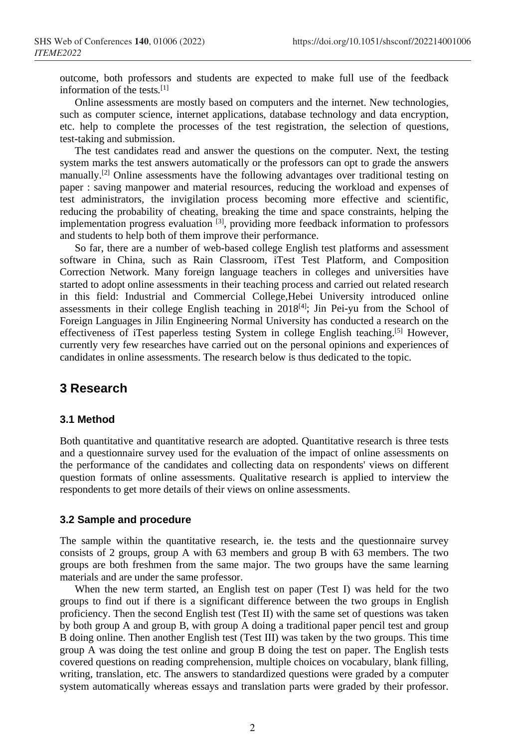outcome, both professors and students are expected to make full use of the feedback information of the tests*.* [1]

Online assessments are mostly based on computers and the internet. New technologies, such as computer science, internet applications, database technology and data encryption, etc. help to complete the processes of the test registration, the selection of questions, test-taking and submission.

The test candidates read and answer the questions on the computer. Next, the testing system marks the test answers automatically or the professors can opt to grade the answers manually.<sup>[2]</sup> Online assessments have the following advantages over traditional testing on paper : saving manpower and material resources, reducing the workload and expenses of test administrators, the invigilation process becoming more effective and scientific, reducing the probability of cheating, breaking the time and space constraints, helping the implementation progress evaluation [3], providing more feedback information to professors and students to help both of them improve their performance.

So far, there are a number of web-based college English test platforms and assessment software in China, such as Rain Classroom, iTest Test Platform, and Composition Correction Network. Many foreign language teachers in colleges and universities have started to adopt online assessments in their teaching process and carried out related research in this field: Industrial and Commercial College,Hebei University introduced online assessments in their college English teaching in  $2018^{[4]}$ ; Jin Pei-yu from the School of Foreign Languages in Jilin Engineering Normal University has conducted a research on the effectiveness of iTest paperless testing System in college English teaching.[5] However, currently very few researches have carried out on the personal opinions and experiences of candidates in online assessments. The research below is thus dedicated to the topic.

## **3 Research**

#### **3.1 Method**

Both quantitative and quantitative research are adopted. Quantitative research is three tests and a questionnaire survey used for the evaluation of the impact of online assessments on the performance of the candidates and collecting data on respondents' views on different question formats of online assessments. Qualitative research is applied to interview the respondents to get more details of their views on online assessments.

#### **3.2 Sample and procedure**

The sample within the quantitative research, ie. the tests and the questionnaire survey consists of 2 groups, group A with 63 members and group B with 63 members. The two groups are both freshmen from the same major. The two groups have the same learning materials and are under the same professor.

When the new term started, an English test on paper (Test I) was held for the two groups to find out if there is a significant difference between the two groups in English proficiency. Then the second English test (Test II) with the same set of questions was taken by both group A and group B, with group A doing a traditional paper pencil test and group B doing online. Then another English test (Test III) was taken by the two groups. This time group A was doing the test online and group B doing the test on paper. The English tests covered questions on reading comprehension, multiple choices on vocabulary, blank filling, writing, translation, etc. The answers to standardized questions were graded by a computer system automatically whereas essays and translation parts were graded by their professor.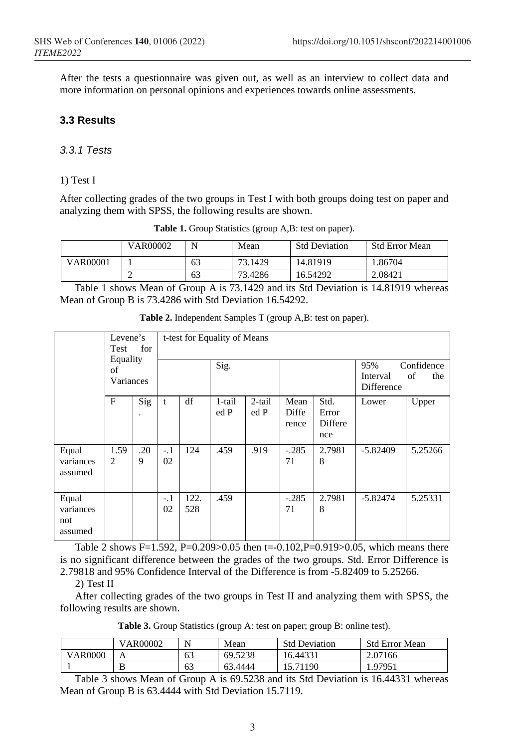After the tests a questionnaire was given out, as well as an interview to collect data and more information on personal opinions and experiences towards online assessments.

## **3.3 Results**

### *3.3.1 Tests*

#### 1) Test I

After collecting grades of the two groups in Test I with both groups doing test on paper and analyzing them with SPSS, the following results are shown.

|                 | <b>VAR00002</b> | N  | Mean    | <b>Std Deviation</b> | <b>Std Error Mean</b> |
|-----------------|-----------------|----|---------|----------------------|-----------------------|
| <b>VAR00001</b> |                 | 63 | 73.1429 | 14.81919             | .86704                |
|                 | ∼               | 63 | 73.4286 | 16.54292             | 2.08421               |

**Table 1.** Group Statistics (group A,B: test on paper).

Table 1 shows Mean of Group A is 73.1429 and its Std Deviation is 14.81919 whereas Mean of Group B is 73.4286 with Std Deviation 16.54292.

|                                      | Levene's<br>for<br>Test<br>Equality<br>of<br>Variances |          |             | t-test for Equality of Means | 95%<br>Interval<br>Difference | Confidence<br>of<br>the |                        |                                 |            |         |
|--------------------------------------|--------------------------------------------------------|----------|-------------|------------------------------|-------------------------------|-------------------------|------------------------|---------------------------------|------------|---------|
|                                      | F                                                      | Sig      | t           | df                           | 1-tail<br>ed P                | 2-tail<br>ed P          | Mean<br>Diffe<br>rence | Std.<br>Error<br>Differe<br>nce | Lower      | Upper   |
| Equal<br>variances<br>assumed        | 1.59<br>$\overline{c}$                                 | .20<br>9 | $-.1$<br>02 | 124                          | .459                          | .919                    | $-.285$<br>71          | 2.7981<br>8                     | $-5.82409$ | 5.25266 |
| Equal<br>variances<br>not<br>assumed |                                                        |          | $-.1$<br>02 | 122.<br>528                  | .459                          |                         | $-.285$<br>71          | 2.7981<br>8                     | $-5.82474$ | 5.25331 |

**Table 2.** Independent Samples T (group A,B: test on paper).

Table 2 shows F=1.592, P=0.209>0.05 then t=-0.102, P=0.919>0.05, which means there is no significant difference between the grades of the two groups. Std. Error Difference is 2.79818 and 95% Confidence Interval of the Difference is from -5.82409 to 5.25266.

2) Test II

After collecting grades of the two groups in Test II and analyzing them with SPSS, the following results are shown.

**Table 3.** Group Statistics (group A: test on paper; group B: online test).

|         | <b>VAR00002</b> | N  | Mean    | <b>Std Deviation</b> | <b>Std Error Mean</b> |
|---------|-----------------|----|---------|----------------------|-----------------------|
| VAR0000 | А               | 63 | 69.5238 | 16.44331             | 2.07166               |
|         | ၪ               | 63 | 63.4444 | 5.71190              | .97951                |

Table 3 shows Mean of Group A is 69.5238 and its Std Deviation is 16.44331 whereas Mean of Group B is 63.4444 with Std Deviation 15.7119.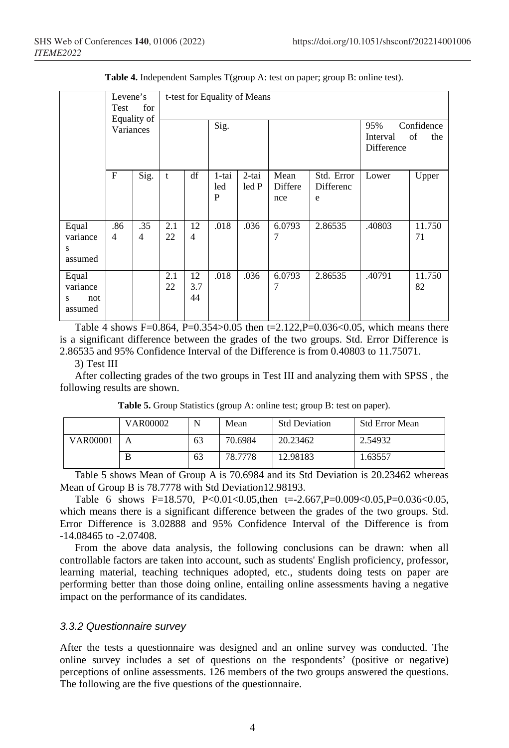|                                          | Levene's<br>for<br>Test<br>Equality of<br>Variances |          | t-test for Equality of Means |                      |                   |                |                        |                              |                                                          |              |
|------------------------------------------|-----------------------------------------------------|----------|------------------------------|----------------------|-------------------|----------------|------------------------|------------------------------|----------------------------------------------------------|--------------|
|                                          |                                                     |          |                              |                      | Sig.              |                |                        |                              | Confidence<br>95%<br>of<br>the<br>Interval<br>Difference |              |
|                                          | $\mathbf{F}$                                        | Sig.     | t                            | df                   | 1-tai<br>led<br>P | 2-tai<br>led P | Mean<br>Differe<br>nce | Std. Error<br>Differenc<br>e | Lower                                                    | Upper        |
| Equal<br>variance<br>S<br>assumed        | .86<br>$\overline{4}$                               | .35<br>4 | 2.1<br>22                    | 12<br>$\overline{4}$ | .018              | .036           | 6.0793<br>7            | 2.86535                      | .40803                                                   | 11.750<br>71 |
| Equal<br>variance<br>not<br>S<br>assumed |                                                     |          | 2.1<br>22                    | 12<br>3.7<br>44      | .018              | .036           | 6.0793<br>7            | 2.86535                      | .40791                                                   | 11.750<br>82 |

**Table 4.** Independent Samples T(group A: test on paper; group B: online test).

Table 4 shows F=0.864, P=0.354>0.05 then t=2.122, P=0.036<0.05, which means there is a significant difference between the grades of the two groups. Std. Error Difference is 2.86535 and 95% Confidence Interval of the Difference is from 0.40803 to 11.75071.

#### 3) Test III

After collecting grades of the two groups in Test III and analyzing them with SPSS , the following results are shown.

|                 | VAR00002 | N  | Mean    | <b>Std Deviation</b> | <b>Std Error Mean</b> |
|-----------------|----------|----|---------|----------------------|-----------------------|
| <b>VAR00001</b> | A        | 63 | 70.6984 | 20.23462             | 2.54932               |
|                 | B        | 63 | 78.7778 | 12.98183             | 1.63557               |

Table 5. Group Statistics (group A: online test; group B: test on paper).

Table 5 shows Mean of Group A is 70.6984 and its Std Deviation is 20.23462 whereas Mean of Group B is 78.7778 with Std Deviation12.98193.

Table 6 shows F=18.570, P<0.01<0.05,then t=-2.667,P=0.009<0.05,P=0.036<0.05, which means there is a significant difference between the grades of the two groups. Std. Error Difference is 3.02888 and 95% Confidence Interval of the Difference is from -14.08465 to -2.07408.

From the above data analysis, the following conclusions can be drawn: when all controllable factors are taken into account, such as students' English proficiency, professor, learning material, teaching techniques adopted, etc., students doing tests on paper are performing better than those doing online, entailing online assessments having a negative impact on the performance of its candidates.

#### *3.3.2 Questionnaire survey*

After the tests a questionnaire was designed and an online survey was conducted. The online survey includes a set of questions on the respondents' (positive or negative) perceptions of online assessments. 126 members of the two groups answered the questions. The following are the five questions of the questionnaire.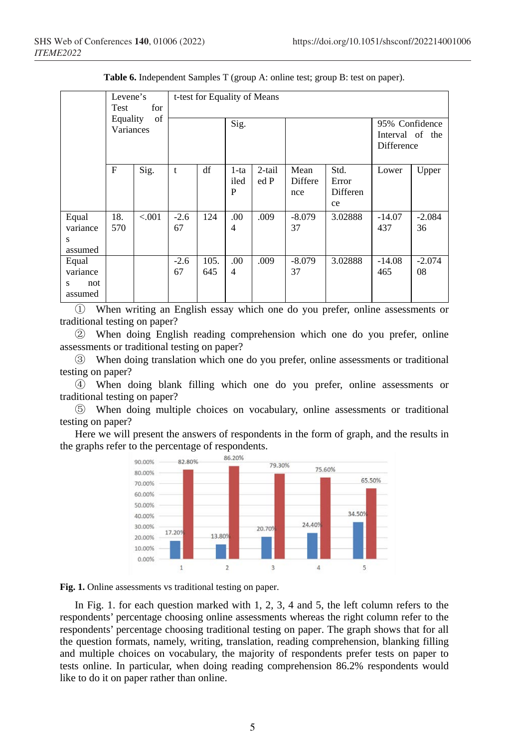|                                          | Levene's<br>for<br>Test<br>Equality<br>of<br>Variances |         | t-test for Equality of Means |             |                                |                |                        |                                 |                                                        |                |  |
|------------------------------------------|--------------------------------------------------------|---------|------------------------------|-------------|--------------------------------|----------------|------------------------|---------------------------------|--------------------------------------------------------|----------------|--|
|                                          |                                                        |         |                              |             | Sig.                           |                |                        |                                 | 95% Confidence<br>Interval of the<br><b>Difference</b> |                |  |
|                                          | F                                                      | Sig.    | t                            | df          | $1-ta$<br>iled<br>$\mathbf{P}$ | 2-tail<br>ed P | Mean<br>Differe<br>nce | Std.<br>Error<br>Differen<br>ce | Lower                                                  | Upper          |  |
| Equal<br>variance<br>S<br>assumed        | 18.<br>570                                             | < 0.001 | $-2.6$<br>67                 | 124         | .00<br>4                       | .009           | $-8.079$<br>37         | 3.02888                         | $-14.07$<br>437                                        | $-2.084$<br>36 |  |
| Equal<br>variance<br>not<br>s<br>assumed |                                                        |         | $-2.6$<br>67                 | 105.<br>645 | .00<br>$\overline{4}$          | .009           | $-8.079$<br>37         | 3.02888                         | $-14.08$<br>465                                        | $-2.074$<br>08 |  |

**Table 6.** Independent Samples T (group A: online test; group B: test on paper).

① When writing an English essay which one do you prefer, online assessments or traditional testing on paper?

② When doing English reading comprehension which one do you prefer, online assessments or traditional testing on paper?

③ When doing translation which one do you prefer, online assessments or traditional testing on paper?

④ When doing blank filling which one do you prefer, online assessments or traditional testing on paper?

⑤ When doing multiple choices on vocabulary, online assessments or traditional testing on paper?

Here we will present the answers of respondents in the form of graph, and the results in the graphs refer to the percentage of respondents.



**Fig. 1.** Online assessments vs traditional testing on paper.

In Fig. 1. for each question marked with 1, 2, 3, 4 and 5, the left column refers to the respondents' percentage choosing online assessments whereas the right column refer to the respondents' percentage choosing traditional testing on paper. The graph shows that for all the question formats, namely, writing, translation, reading comprehension, blanking filling and multiple choices on vocabulary, the majority of respondents prefer tests on paper to tests online. In particular, when doing reading comprehension 86.2% respondents would like to do it on paper rather than online.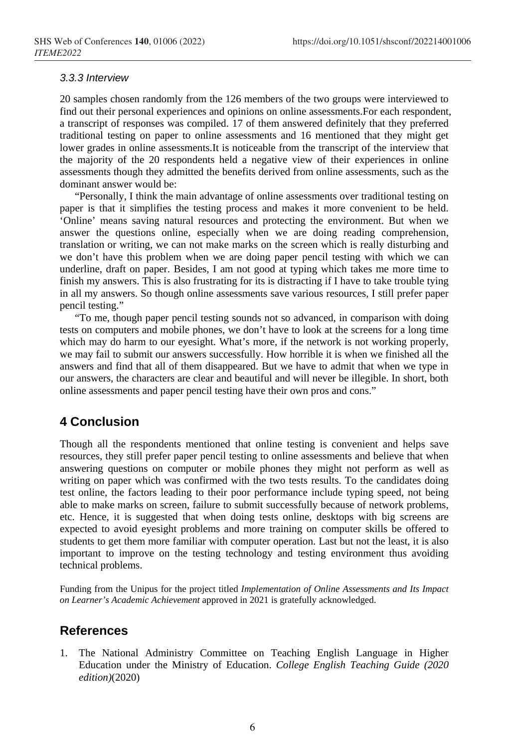#### *3.3.3 Interview*

20 samples chosen randomly from the 126 members of the two groups were interviewed to find out their personal experiences and opinions on online assessments.For each respondent, a transcript of responses was compiled. 17 of them answered definitely that they preferred traditional testing on paper to online assessments and 16 mentioned that they might get lower grades in online assessments.It is noticeable from the transcript of the interview that the majority of the 20 respondents held a negative view of their experiences in online assessments though they admitted the benefits derived from online assessments, such as the dominant answer would be:

"Personally, I think the main advantage of online assessments over traditional testing on paper is that it simplifies the testing process and makes it more convenient to be held. 'Online' means saving natural resources and protecting the environment. But when we answer the questions online, especially when we are doing reading comprehension, translation or writing, we can not make marks on the screen which is really disturbing and we don't have this problem when we are doing paper pencil testing with which we can underline, draft on paper. Besides, I am not good at typing which takes me more time to finish my answers. This is also frustrating for its is distracting if I have to take trouble tying in all my answers. So though online assessments save various resources, I still prefer paper pencil testing."

"To me, though paper pencil testing sounds not so advanced, in comparison with doing tests on computers and mobile phones, we don't have to look at the screens for a long time which may do harm to our eyesight. What's more, if the network is not working properly, we may fail to submit our answers successfully. How horrible it is when we finished all the answers and find that all of them disappeared. But we have to admit that when we type in our answers, the characters are clear and beautiful and will never be illegible. In short, both online assessments and paper pencil testing have their own pros and cons."

# **4 Conclusion**

Though all the respondents mentioned that online testing is convenient and helps save resources, they still prefer paper pencil testing to online assessments and believe that when answering questions on computer or mobile phones they might not perform as well as writing on paper which was confirmed with the two tests results. To the candidates doing test online, the factors leading to their poor performance include typing speed, not being able to make marks on screen, failure to submit successfully because of network problems, etc. Hence, it is suggested that when doing tests online, desktops with big screens are expected to avoid eyesight problems and more training on computer skills be offered to students to get them more familiar with computer operation. Last but not the least, it is also important to improve on the testing technology and testing environment thus avoiding technical problems.

Funding from the Unipus for the project titled *Implementation of Online Assessments and Its Impact on Learner's Academic Achievement* approved in 2021 is gratefully acknowledged.

## **References**

1. The National Administry Committee on Teaching English Language in Higher Education under the Ministry of Education. *College English Teaching Guide (2020 edition)*(2020)